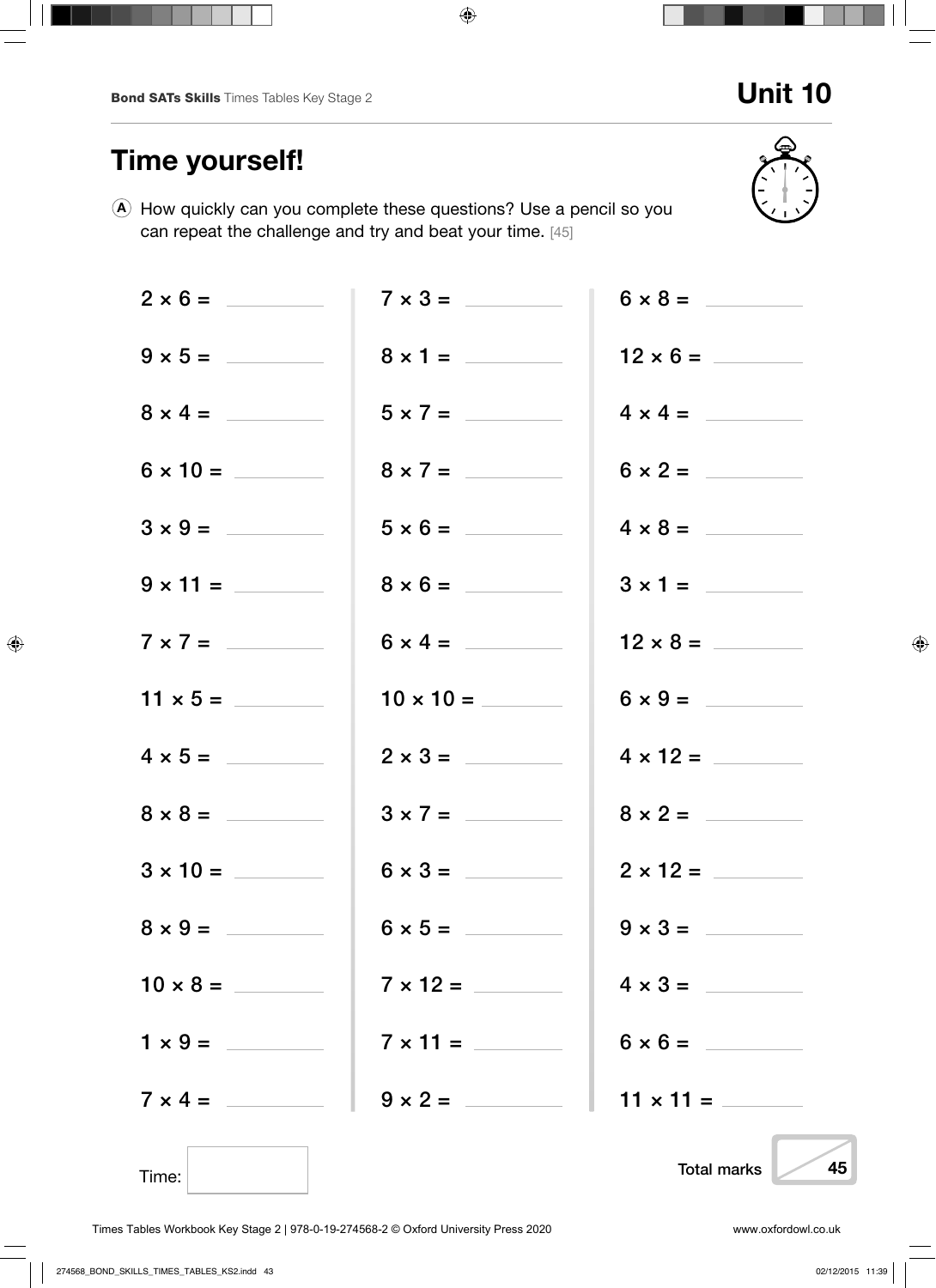## Unit 10

# Time yourself!

A How quickly can you complete these questions? Use a pencil so you can repeat the challenge and try and beat your time. [45]

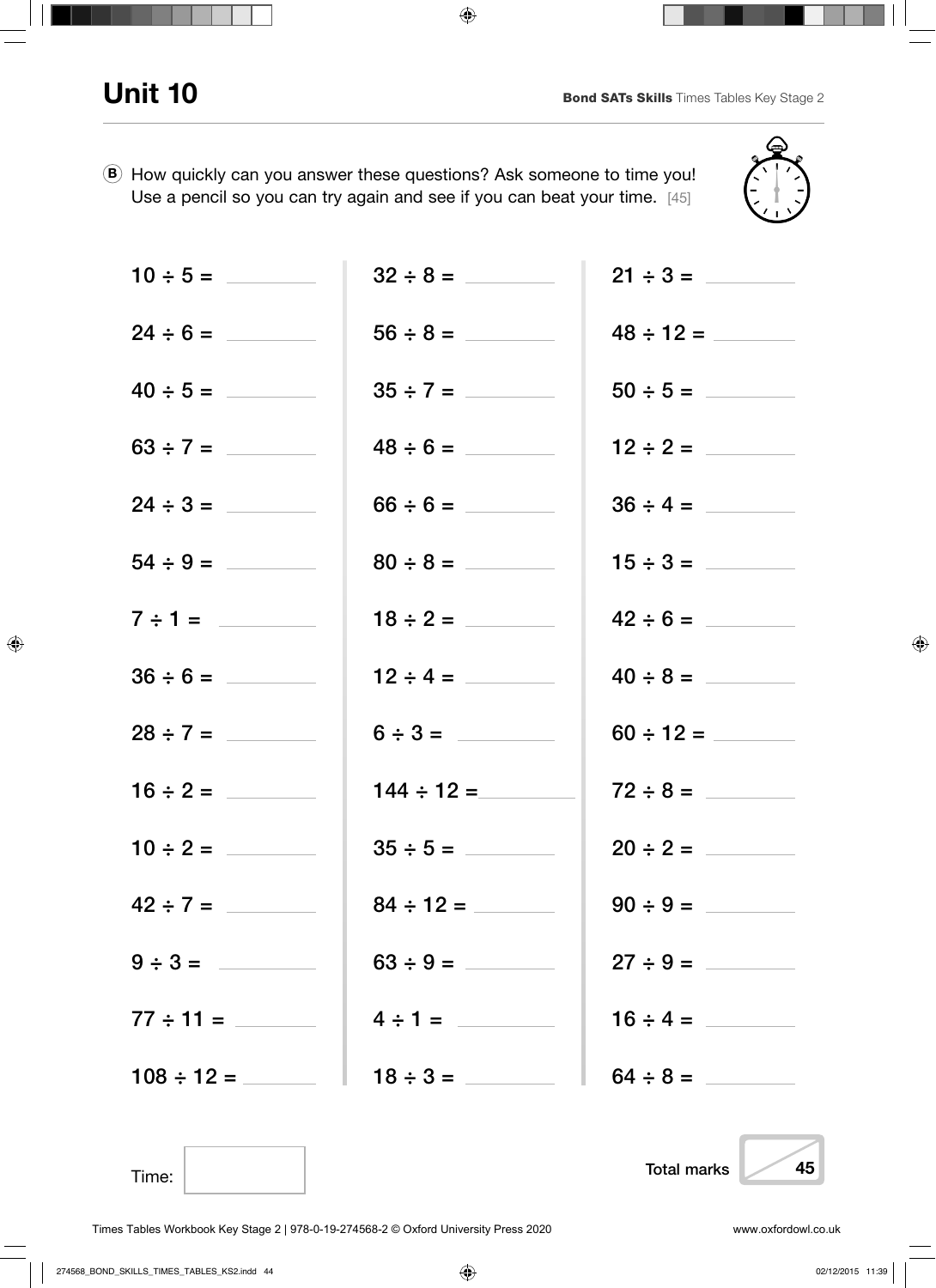Time:



|               | $24 \div 6 =$ 56 $\div 8 =$   |               |
|---------------|-------------------------------|---------------|
|               |                               |               |
|               |                               |               |
| $24 \div 3 =$ | $66 \div 6 =$                 |               |
|               | $80 \div 8 =$                 |               |
| $7 \div 1 =$  |                               |               |
| $36 \div 6 =$ | $12 \div 4 =$                 | $40 \div 8 =$ |
|               | $6 \div 3 =$                  |               |
|               | $144 \div 12 =$               |               |
| $10 \div 2 =$ |                               | $20 \div 2 =$ |
|               |                               |               |
| $9 \div 3 =$  |                               | $27 \div 9 =$ |
|               | $4 \div 1 =$                  | $16 \div 4 =$ |
|               | $108 \div 12 =$ $18 \div 3 =$ |               |
|               |                               |               |

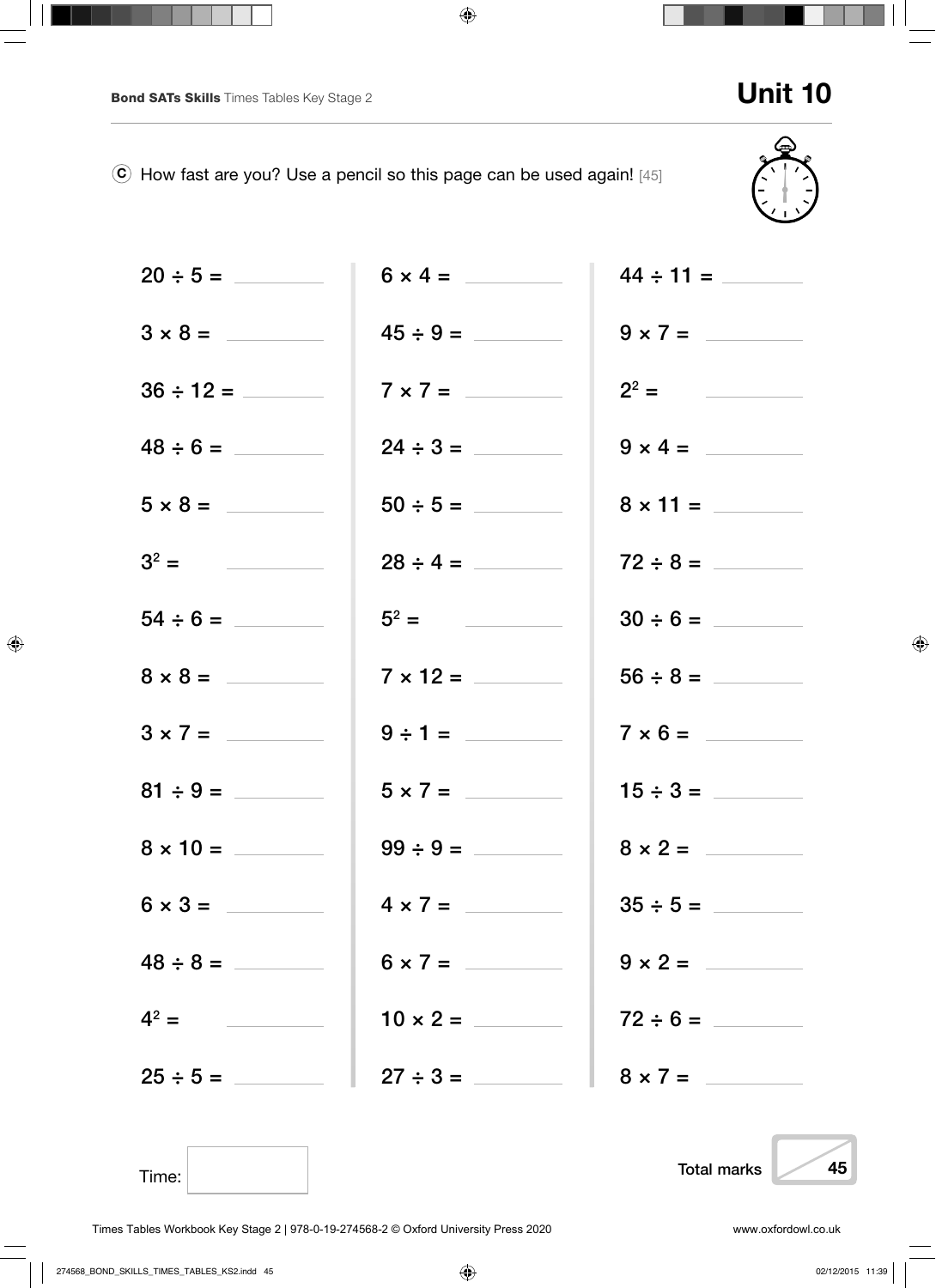Time:



|                |                | $44 \div 11 =$  |
|----------------|----------------|-----------------|
| $3 \times 8 =$ | $45 \div 9 =$  | $9 \times 7 =$  |
|                | $7 \times 7 =$ | $2^2 =$         |
|                | $24 \div 3 =$  | $9 \times 4 =$  |
|                |                | $8 \times 11 =$ |
| $3^2 =$        | $28 \div 4 =$  | $72 \div 8 =$   |
|                | $5^2 =$        | $30 \div 6 =$   |
| $8 \times 8 =$ |                |                 |
|                | $9 \div 1 =$   | $7 \times 6 =$  |
|                | $5 \times 7 =$ | $15 \div 3 =$   |
|                | $99 \div 9 =$  | $8 \times 2 =$  |
| $6 \times 3 =$ | $4 \times 7 =$ |                 |
| $48 \div 8 =$  | $6 \times 7 =$ | $9 \times 2 =$  |
| $4^2 =$        |                |                 |
| $25 \div 5 =$  |                |                 |



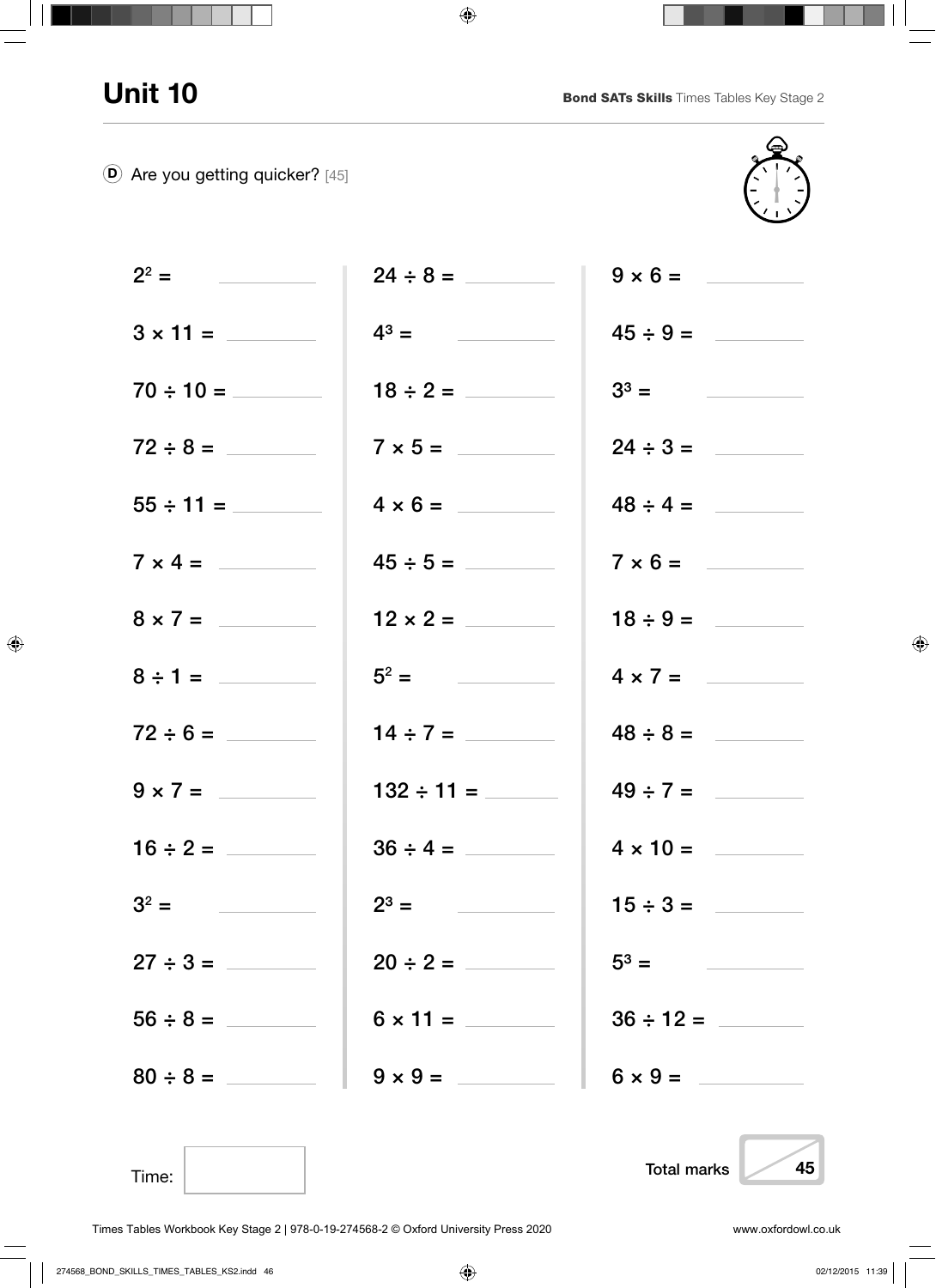D Are you getting quicker? [45]



| $2^2 =$         |                                  | $9 \times 6 =$                                                                                                                                                            |
|-----------------|----------------------------------|---------------------------------------------------------------------------------------------------------------------------------------------------------------------------|
| $3 \times 11 =$ | $4^3 = \underline{\hspace{1cm}}$ | $45 \div 9 =$                                                                                                                                                             |
|                 |                                  | $3^3 =$                                                                                                                                                                   |
|                 | $7 \times 5 =$                   | $24 \div 3 =$                                                                                                                                                             |
|                 | $4 \times 6 =$                   | $48 \div 4 =$                                                                                                                                                             |
| $7 \times 4 =$  |                                  | $7 \times 6 =$                                                                                                                                                            |
| $8 \times 7 =$  | $12 \times 2 =$                  | $18 \div 9 =$                                                                                                                                                             |
| $8 \div 1 =$    | $5^2 =$                          | $4 \times 7 =$                                                                                                                                                            |
|                 | $14 \div 7 =$                    | $48 \div 8 =$                                                                                                                                                             |
| $9 \times 7 =$  |                                  | $49 \div 7 =$                                                                                                                                                             |
|                 | $36 \div 4 =$                    | $4 \times 10 =$                                                                                                                                                           |
| $3^2 =$         |                                  | $15 \div 3 =$                                                                                                                                                             |
| $27 \div 3 =$   | $20 \div 2 =$                    | $5^3 =$<br>$\label{eq:2.1} \frac{1}{\sqrt{2\pi}}\left(\frac{1}{\sqrt{2\pi}}\right)^{1/2}\left(\frac{1}{\sqrt{2\pi}}\right)^{1/2}\left(\frac{1}{\sqrt{2\pi}}\right)^{1/2}$ |
|                 |                                  | $36 \div 12 =$                                                                                                                                                            |
| $80 \div 8 =$   | $9 \times 9 =$                   | $6 \times 9 =$                                                                                                                                                            |
|                 |                                  |                                                                                                                                                                           |

Time:

Total marks 45